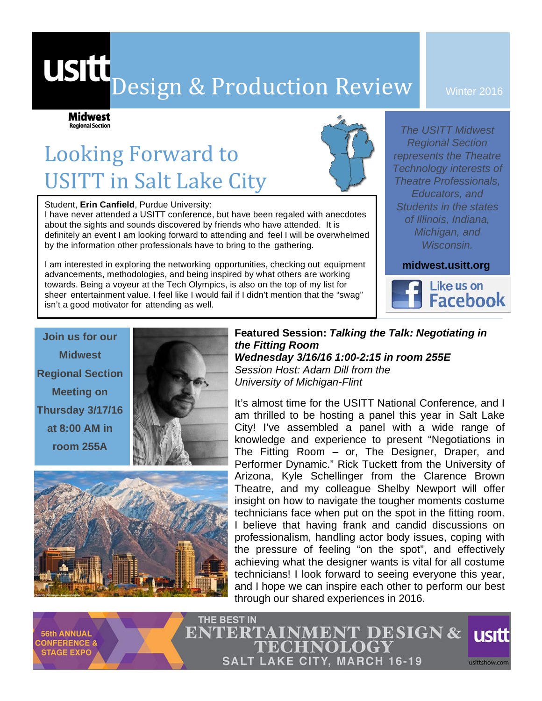# USIU Design & Production Review

Winter 2016

# Looking Forward to **USITT** in Salt Lake City

Student, **Erin Canfield**, Purdue University:

**Midwest Regional Section** 

I have never attended a USITT conference, but have been regaled with anecdotes about the sights and sounds discovered by friends who have attended. It is definitely an event I am looking forward to attending and feel I will be overwhelmed by the information other professionals have to bring to the gathering.

I am interested in exploring the networking opportunities, checking out equipment advancements, methodologies, and being inspired by what others are working towards. Being a voyeur at the Tech Olympics, is also on the top of my list for sheer entertainment value. I feel like I would fail if I didn't mention that the "swag" isn't a good motivator for attending as well.

*The USITT Midwest Regional Section represents the Theatre Technology interests of Theatre Professionals, Educators, and Students in the states of Illinois, Indiana, Michigan, and Wisconsin.*

**midwest.usitt.org**



**Join us for our Midwest Regional Section Meeting on Thursday 3/17/16 at 8:00 AM in room 255A**



**Featured Session:** *Talking the Talk: Negotiating in the Fitting Room Wednesday 3/16/16 1:00-2:15 in room 255E Session Host: Adam Dill from the University of Michigan-Flint*

It's almost time for the USITT National Conference, and I am thrilled to be hosting a panel this year in Salt Lake City! I've assembled a panel with a wide range of knowledge and experience to present "Negotiations in The Fitting Room – or, The Designer, Draper, and Performer Dynamic." Rick Tuckett from the University of Arizona, Kyle Schellinger from the Clarence Brown Theatre, and my colleague Shelby Newport will offer insight on how to navigate the tougher moments costume technicians face when put on the spot in the fitting room. I believe that having frank and candid discussions on professionalism, handling actor body issues, coping with the pressure of feeling "on the spot", and effectively achieving what the designer wants is vital for all costume technicians! I look forward to seeing everyone this year, and I hope we can inspire each other to perform our best through our shared experiences in 2016.



**56th ANNUAL CONFERENCE & STAGE EXPO** 

THE BEST IN **ENTERTAINMENT DESIGN & usitt 'ECHNOLOGY SALT LAKE CITY, MARCH 16-19** usittshow.com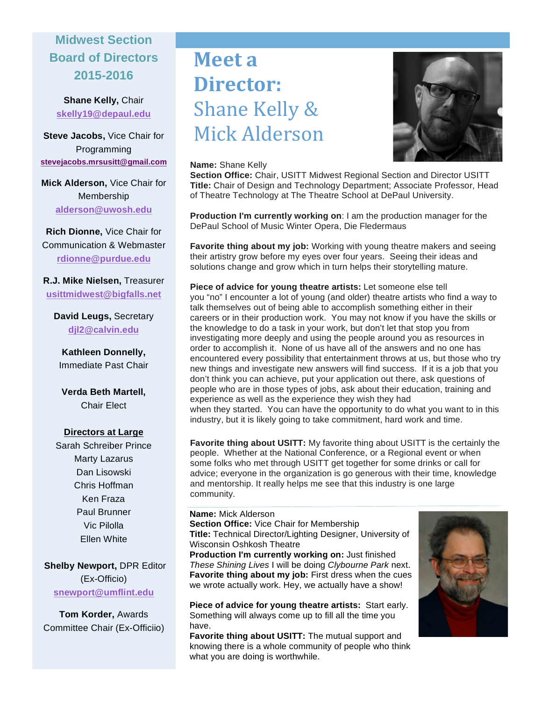## **Midwest Section Board of Directors 2015-2016**

**Shane Kelly,** Chair **skelly19@depaul.edu**

**Steve Jacobs,** Vice Chair for Programming **stevejacobs.mrsusitt@gmail.com**

**Mick Alderson,** Vice Chair for Membership **alderson@uwosh.edu**

**Rich Dionne,** Vice Chair for Communication & Webmaster **rdionne@purdue.edu**

**R.J. Mike Nielsen,** Treasurer **usittmidwest@bigfalls.net**

**David Leugs,** Secretary **djl2@calvin.edu**

**Kathleen Donnelly,**  Immediate Past Chair

**Verda Beth Martell,**  Chair Elect

#### **Directors at Large**

Sarah Schreiber Prince Marty Lazarus Dan Lisowski Chris Hoffman Ken Fraza Paul Brunner Vic Pilolla Ellen White

**Shelby Newport,** DPR Editor (Ex-Officio) **snewport@umflint.edu**

**Tom Korder,** Awards Committee Chair (Ex-Officiio)

# **Meet** a **Director:** Shane Kelly & Mick Alderson



#### **Name:** Shane Kelly

**Section Office:** Chair, USITT Midwest Regional Section and Director USITT **Title:** Chair of Design and Technology Department; Associate Professor, Head of Theatre Technology at The Theatre School at DePaul University.

**Production I'm currently working on**: I am the production manager for the DePaul School of Music Winter Opera, Die Fledermaus

**Favorite thing about my job:** Working with young theatre makers and seeing their artistry grow before my eyes over four years. Seeing their ideas and solutions change and grow which in turn helps their storytelling mature.

**Piece of advice for young theatre artists:** Let someone else tell you "no" I encounter a lot of young (and older) theatre artists who find a way to talk themselves out of being able to accomplish something either in their careers or in their production work. You may not know if you have the skills or the knowledge to do a task in your work, but don't let that stop you from investigating more deeply and using the people around you as resources in order to accomplish it. None of us have all of the answers and no one has encountered every possibility that entertainment throws at us, but those who try new things and investigate new answers will find success. If it is a job that you don't think you can achieve, put your application out there, ask questions of people who are in those types of jobs, ask about their education, training and experience as well as the experience they wish they had when they started. You can have the opportunity to do what you want to in this industry, but it is likely going to take commitment, hard work and time.

**Favorite thing about USITT:** My favorite thing about USITT is the certainly the people. Whether at the National Conference, or a Regional event or when some folks who met through USITT get together for some drinks or call for advice; everyone in the organization is go generous with their time, knowledge and mentorship. It really helps me see that this industry is one large community.

## **Name:** Mick Alderson

**Section Office:** Vice Chair for Membership **Title:** Technical Director/Lighting Designer, University of Wisconsin Oshkosh Theatre

**Production I'm currently working on:** Just finished *These Shining Lives* I will be doing *Clybourne Park* next. **Favorite thing about my job:** First dress when the cues we wrote actually work. Hey, we actually have a show!

**Piece of advice for young theatre artists:** Start early. Something will always come up to fill all the time you have.

**Favorite thing about USITT:** The mutual support and knowing there is a whole community of people who think what you are doing is worthwhile.

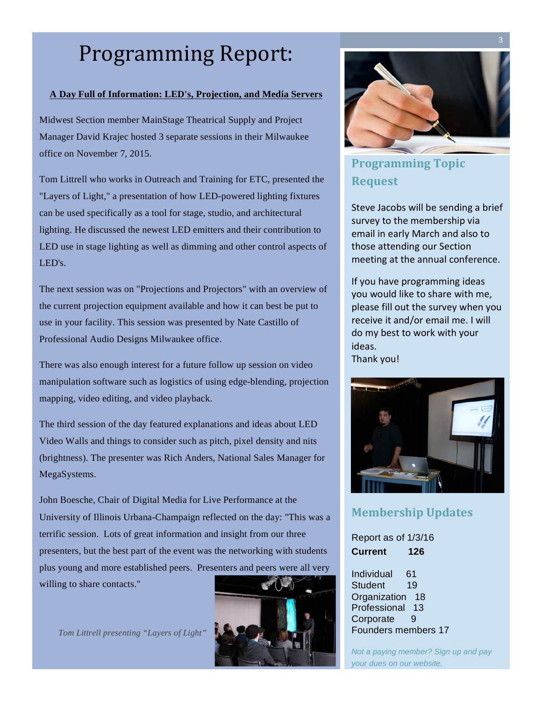# Programming Report:

#### **A Day Full of Information: LED's, Projection, and Media Servers**

Midwest Section member MainStage Theatrical Supply and Project Manager David Krajec hosted 3 separate sessions in their Milwaukee office on November 7, 2015.

Tom Littrell who works in Outreach and Training for ETC, presented the "Layers of Light," a presentation of how LED-powered lighting fixtures can be used specifically as a tool for stage, studio, and architectural lighting. He discussed the newest LED emitters and their contribution to LED use in stage lighting as well as dimming and other control aspects of LED's.

The next session was on "Projections and Projectors" with an overview of the current projection equipment available and how it can best be put to use in your facility. This session was presented by Nate Castillo of Professional Audio Designs Milwaukee office.

There was also enough interest for a future follow up session on video manipulation software such as logistics of using edge-blending, projection mapping, video editing, and video playback.

The third session of the day featured explanations and ideas about LED Video Walls and things to consider such as pitch, pixel density and nits (brightness). The presenter was Rich Anders, National Sales Manager for MegaSystems.

John Boesche, Chair of Digital Media for Live Performance at the University of Illinois Urbana-Champaign reflected on the day: "This was a terrific session. Lots of great information and insight from our three presenters, but the best part of the event was the networking with students plus young and more established peers. Presenters and peers were all very willing to share contacts."

*Tom Littrell presenting "Layers of Light"*





## **Programming Topic Request**

Steve Jacobs will be sending a brief survey to the membership via email in early March and also to those attending our Section meeting at the annual conference.

If you have programming ideas you would like to share with me, please fill out the survey when you receive it and/or email me. I will do my best to work with your ideas. Thank you!



## **Membership Updates**

Report as of 1/3/16 **Current 126**

Individual 61 Student 19 Organization 18 Professional 13 Corporate 9 Founders members 17

*Not a paying member? Sign up and pay your dues on our website.*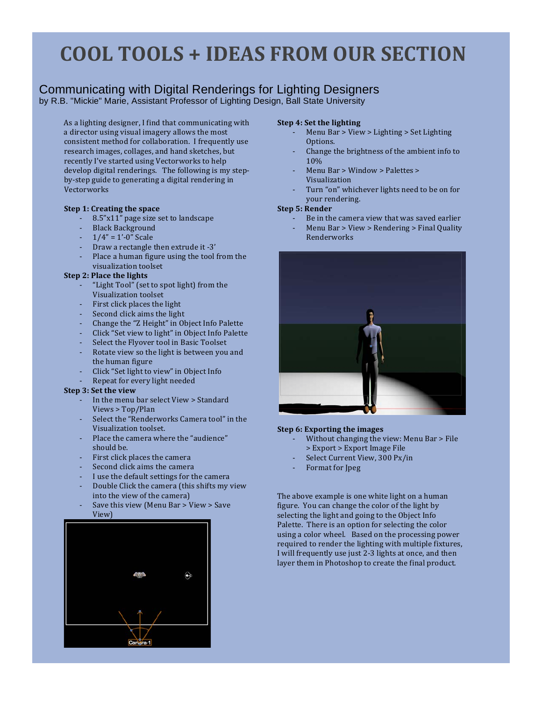# **COOL TOOLS + IDEAS FROM OUR SECTION**

## Communicating with Digital Renderings for Lighting Designers

by R.B. "Mickie" Marie, Assistant Professor of Lighting Design, Ball State University

As a lighting designer, I find that communicating with a director using visual imagery allows the most consistent method for collaboration. I frequently use research images, collages, and hand sketches, but recently I've started using Vectorworks to help develop digital renderings. The following is my stepby-step guide to generating a digital rendering in Vectorworks

#### **Step 1: Creating the space**

- 8.5"x11" page size set to landscape
- Black Background
- $1/4" = 1'-0"$  Scale
- Draw a rectangle then extrude it -3'
- Place a human figure using the tool from the visualization toolset

#### **Step 2: Place the lights**

- "Light Tool" (set to spot light) from the Visualization toolset
- First click places the light
- Second click aims the light
- Change the "Z Height" in Object Info Palette
- Click "Set view to light" in Object Info Palette
- Select the Flyover tool in Basic Toolset
- Rotate view so the light is between you and the human figure
- Click "Set light to view" in Object Info
- Repeat for every light needed

#### **Step 3: Set the view**

- In the menu bar select View > Standard Views > Top/Plan
- Select the "Renderworks Camera tool" in the Visualization toolset.
- Place the camera where the "audience" should be.
- First click places the camera
- Second click aims the camera
- I use the default settings for the camera
- Double Click the camera (this shifts my view into the view of the camera)
- Save this view (Menu Bar > View > Save View)



#### **Step 4: Set the lighting**

- Menu Bar > View > Lighting > Set Lighting Options.
- Change the brightness of the ambient info to 10%
- $Menu Bar > Window > Palestes >$ Visualization
- Turn "on" whichever lights need to be on for your rendering.

#### **Step 5: Render**

- Be in the camera view that was saved earlier
- Menu Bar > View > Rendering > Final Quality Renderworks



#### **Step 6: Exporting the images**

- Without changing the view: Menu Bar > File > Export > Export Image File
- Select Current View, 300 Px/in
- Format for Ipeg

The above example is one white light on a human figure. You can change the color of the light by selecting the light and going to the Object Info Palette. There is an option for selecting the color using a color wheel. Based on the processing power required to render the lighting with multiple fixtures, I will frequently use just 2-3 lights at once, and then layer them in Photoshop to create the final product.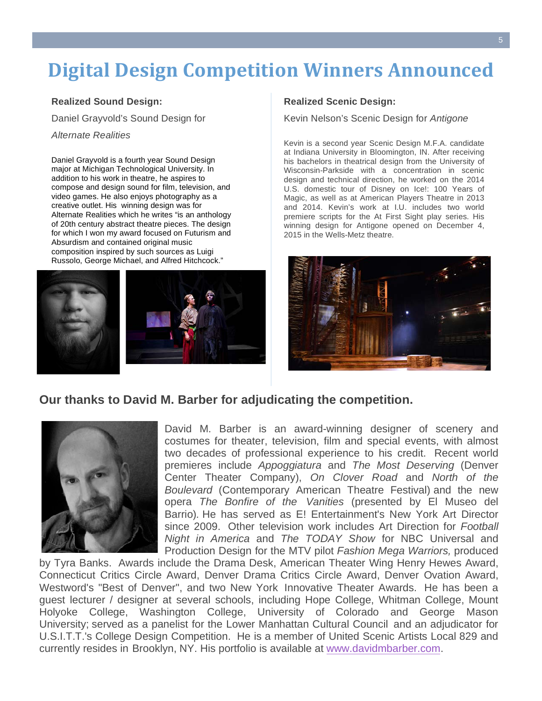# **Digital Design Competition Winners Announced**

#### **Realized Sound Design:**

Daniel Grayvold's Sound Design for

*Alternate Realities*

Daniel Grayvold is a fourth year Sound Design major at Michigan Technological University. In addition to his work in theatre, he aspires to compose and design sound for film, television, and video games. He also enjoys photography as a creative outlet. His winning design was for Alternate Realities which he writes "is an anthology of 20th century abstract theatre pieces. The design for which I won my award focused on Futurism and Absurdism and contained original music composition inspired by such sources as Luigi Russolo, George Michael, and Alfred Hitchcock."





#### **Realized Scenic Design:**

Kevin Nelson's Scenic Design for *Antigone*

Kevin is a second year Scenic Design M.F.A. candidate at Indiana University in Bloomington, IN. After receiving his bachelors in theatrical design from the University of Wisconsin-Parkside with a concentration in scenic design and technical direction, he worked on the 2014 U.S. domestic tour of Disney on Ice!: 100 Years of Magic, as well as at American Players Theatre in 2013 and 2014. Kevin's work at I.U. includes two world premiere scripts for the At First Sight play series. His winning design for Antigone opened on December 4, 2015 in the Wells-Metz theatre.



### **Our thanks to David M. Barber for adjudicating the competition.**



David M. Barber is an award-winning designer of scenery and costumes for theater, television, film and special events, with almost two decades of professional experience to his credit. Recent world premieres include *Appoggiatura* and *The Most Deserving* (Denver Center Theater Company), *On Clover Road* and *North of the Boulevard* (Contemporary American Theatre Festival) and the new opera *The Bonfire of the Vanities* (presented by El Museo del Barrio)*.* He has served as E! Entertainment's New York Art Director since 2009. Other television work includes Art Direction for *Football Night in America* and *The TODAY Show* for NBC Universal and Production Design for the MTV pilot *Fashion Mega Warriors,* produced

by Tyra Banks. Awards include the Drama Desk, American Theater Wing Henry Hewes Award, Connecticut Critics Circle Award, Denver Drama Critics Circle Award, Denver Ovation Award, Westword's "Best of Denver", and two New York Innovative Theater Awards. He has been a guest lecturer / designer at several schools, including Hope College, Whitman College, Mount Holyoke College, Washington College, University of Colorado and George Mason University; served as a panelist for the Lower Manhattan Cultural Council and an adjudicator for U.S.I.T.T.'s College Design Competition. He is a member of United Scenic Artists Local 829 and currently resides in Brooklyn, NY. His portfolio is available at www.davidmbarber.com.